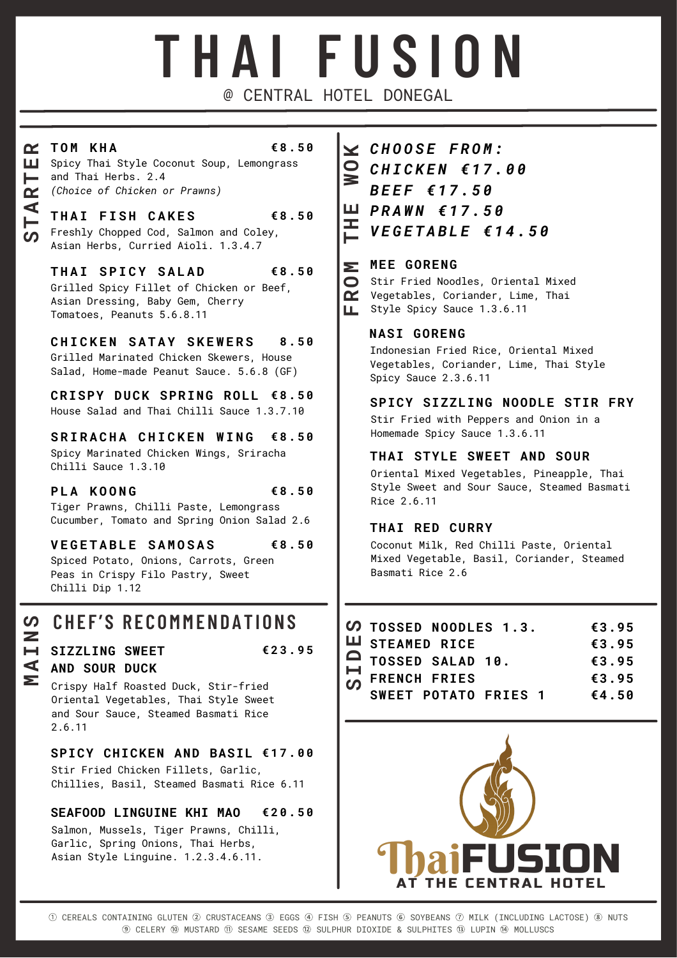# **T H A I F U S I O N** @ CENTRAL HOTEL DONEGAL

<u> Σ</u>

### **RT O M K H A**

### **€ 8 . 5 0**

**TART**

<u>(၇</u>

 *(Choice of Chicken or Prawns)* and Thai Herbs. 2.4 Spicy Thai Style Coconut Soup, Lemongrass

 Asian Herbs, Curried Aioli. 1.3.4.7 Freshly Chopped Cod, Salmon and Coley, **T H A I F I S H C A K E S € 8 . 5 0**

 $THAI$  **SPICY SALAD** Grilled Spicy Fillet of Chicken or Beef, Asian Dressing, Baby Gem, Cherry Tomatoes, Peanuts 5.6.8.11 **€ 8 . 5 0**

 $CHICKEN$  SATAY SKEWERS Grilled Marinated Chicken Skewers, House Salad, Home-made Peanut Sauce. 5.6.8 (GF) **8 . 5 0**

**CRISPY DUCK SPRING ROLL € 8 . 5 0** House Salad and Thai Chilli Sauce 1.3.7.10

 $S$  **RIRACHA CHICKEN WING** Spicy Marinated Chicken Wings, Sriracha Chilli Sauce 1.3.10 **€ 8 . 5 0**

**P L A K O O N G** Tiger Prawns, Chilli Paste, Lemongrass Cucumber, Tomato and Spring Onion Salad 2.6 **€ 8 . 5 0**

**V E G E T A B L E S A M O S A S € 8 . 5 0**

Spiced Potato, Onions, Carrots, Green Peas in Crispy Filo Pastry, Sweet Chilli Dip 1.12

## $\Omega$  **CHEF'S RECOMMENDATIONS**

### **I SIZZLING SWEET AND SOUR DUCK**

**M**

**A**

**N**

**€ 2 3 . 9 5**

 Crispy Half Roasted Duck, Stir-fried Oriental Vegetables, Thai Style Sweet and Sour Sauce, Steamed Basmati Rice 2.6.11

**SPICY CHICKEN AND BASIL € 1 7 . 0 0**

Stir Fried Chicken Fillets, Garlic, Chillies, Basil, Steamed Basmati Rice 6.11

### **SEAFOOD LINGUINE KHI MAO € 2 0 . 5 0**

Salmon, Mussels, Tiger Prawns, Chilli, Garlic, Spring Onions, Thai Herbs, Asian Style Linguine. 1.2.3.4.6.11.

 $\simeq$  *CHOOSE FROM: C H I C K E N € 1 7 . 0 0 B E E F € 1 7 . 5 0 P R A W N € 1 7 . 5 0* **E***V E G E T A B L E € 1 4 . 5 0* **THWO**

### **MEE GORENG**

Stir Fried Noodles, Oriental Mixed Vegetables, Coriander, Lime, Thai **F**Style Spicy Sauce 1.3.6.11 **RO**

### **NASI GORENG**

Indonesian Fried Rice, Oriental Mixed Vegetables, Coriander, Lime, Thai Style Spicy Sauce 2.3.6.11

**SPICY SIZZLING NOODLE STIR FRY**

Stir Fried with Peppers and Onion in a Homemade Spicy Sauce 1.3.6.11

### **THAI STYLE SWEET AND SOUR**

Oriental Mixed Vegetables, Pineapple, Thai Style Sweet and Sour Sauce, Steamed Basmati Rice 2.6.11

### **THAI RED CURRY**

Coconut Milk, Red Chilli Paste, Oriental Mixed Vegetable, Basil, Coriander, Steamed Basmati Rice 2.6

| <b><i>C</i></b> TOSSED NOODLES 1.3.                            | € $3.95$ |          |
|----------------------------------------------------------------|----------|----------|
| <b>LU</b> STEAMED RICE                                         |          | €3.95    |
| △ TOSSED SALAD 10.<br>Η FRENCH FRIES<br>∽ SWEET POTATO FRIES 1 |          | €3.95    |
|                                                                |          | € $3.95$ |
|                                                                |          | €4.50    |
|                                                                |          |          |



**E**